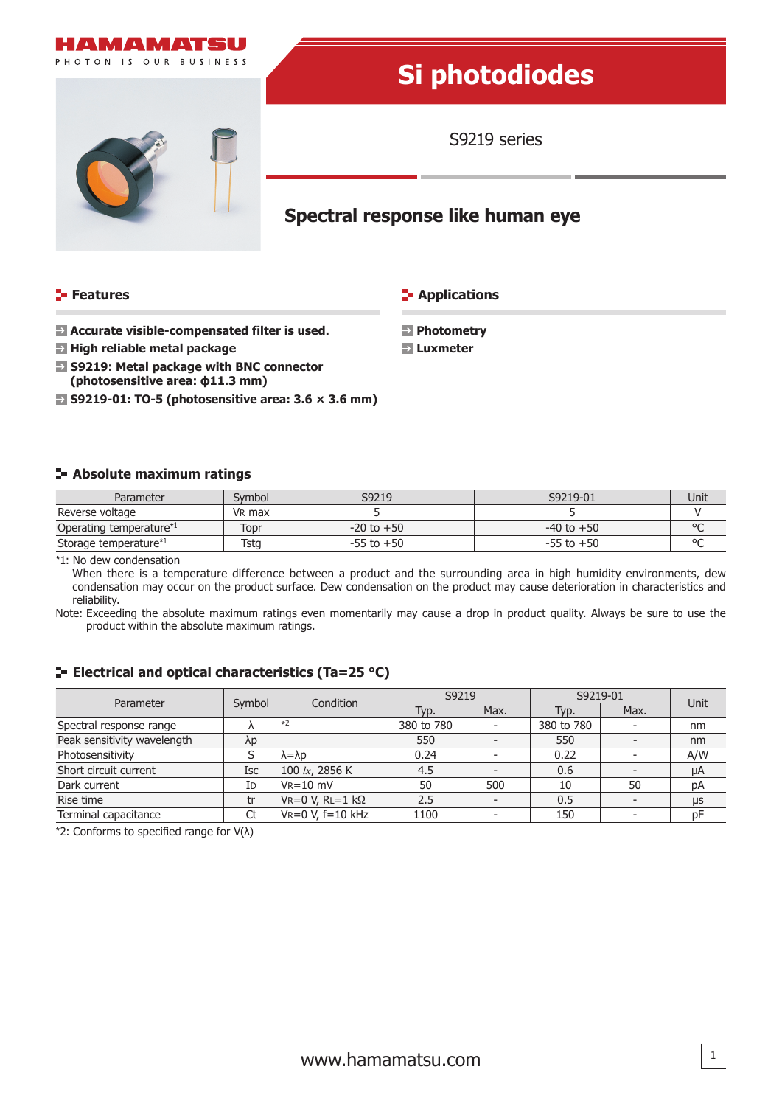

#### **Features**

**E-** Applications

 **Photometry Luxmeter**

- **Accurate visible-compensated filter is used.**
- **High reliable metal package**
- **S9219: Metal package with BNC connector (photosensitive area: ϕ11.3 mm)**
- **S9219-01: TO-5 (photosensitive area: 3.6 × 3.6 mm)**

### **Absolute maximum ratings**

| Parameter                           | Svmbol             | S9219          | S9219-01       | Unit   |
|-------------------------------------|--------------------|----------------|----------------|--------|
| Reverse voltage                     | V <sub>R</sub> max |                |                |        |
| Operating temperature <sup>*1</sup> | Topr               | $-20$ to $+50$ | $-40$ to $+50$ | $\sim$ |
| Storage temperature <sup>*1</sup>   | Tsta               | $-55$ to $+50$ | $-55$ to $+50$ | $\sim$ |

\*1: No dew condensation

When there is a temperature difference between a product and the surrounding area in high humidity environments, dew condensation may occur on the product surface. Dew condensation on the product may cause deterioration in characteristics and reliability.

Note: Exceeding the absolute maximum ratings even momentarily may cause a drop in product quality. Always be sure to use the product within the absolute maximum ratings.

## **E** Electrical and optical characteristics (Ta=25 °C)

| Parameter                   | Symbol      | Condition                | S9219      |      | S9219-01   |      | <b>Unit</b> |
|-----------------------------|-------------|--------------------------|------------|------|------------|------|-------------|
|                             |             |                          | Typ.       | Max. | Typ.       | Max. |             |
| Spectral response range     |             | $\pm 2$                  | 380 to 780 |      | 380 to 780 |      | nm          |
| Peak sensitivity wavelength | $\lambda p$ |                          | 550        |      | 550        |      | nm          |
| Photosensitivity            |             | $\lambda = \lambda p$    | 0.24       |      | 0.22       |      | A/W         |
| Short circuit current       | <b>Isc</b>  | 100 $lx$ , 2856 K        | 4.5        |      | 0.6        |      | μA          |
| Dark current                | Id          | $V_R = 10$ mV            | 50         | 500  | 10         | 50   | pA          |
| Rise time                   | tr          | $V = 0 V$ , RL=1 kΩ      | 2.5        |      | 0.5        |      | μs          |
| Terminal capacitance        | Ct          | $V = 0 V$ , $f = 10 kHz$ | 1100       |      | 150        |      | рF          |

\*2: Conforms to specified range for V(λ)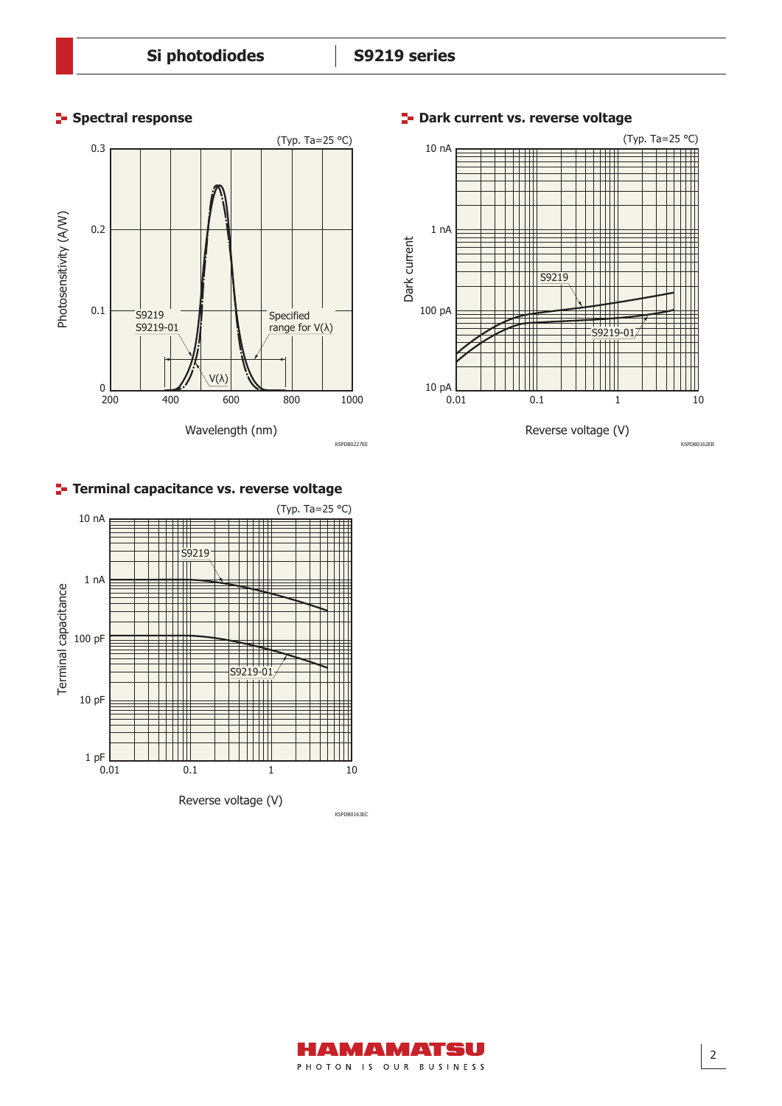



**F** Spectral response **Dark current vs. reverse voltage** 



# **Terminal capacitance vs. reverse voltage**



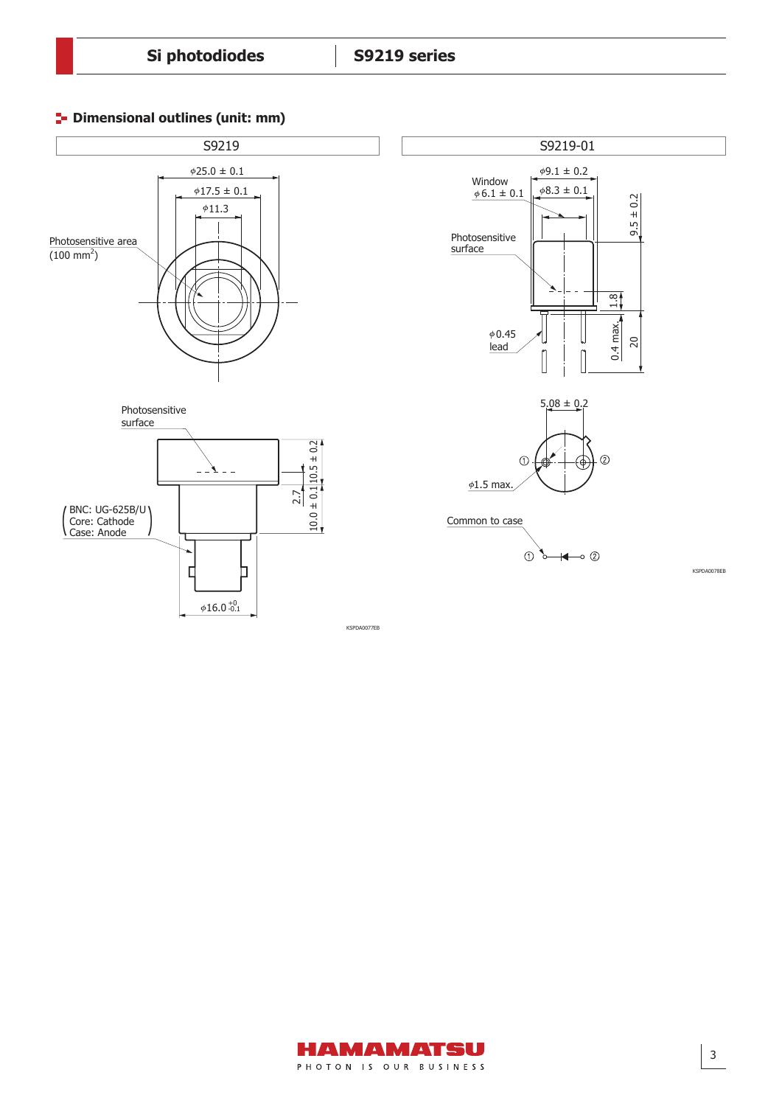Dimensional outline (S7160-01, S9219-01, unit: mm)

# **P** Dimensional outlines (unit: mm)





KSPDA0078EB